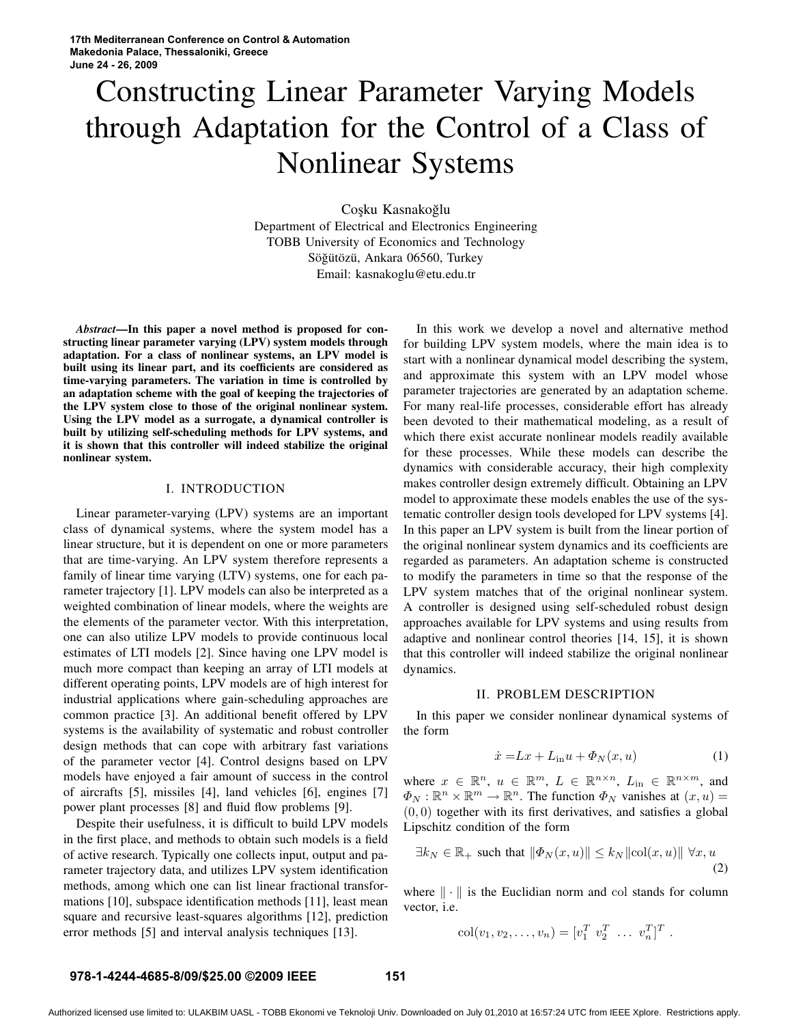# Constructing Linear Parameter Varying Models through Adaptation for the Control of a Class of Nonlinear Systems

Coşku Kasnakoğlu Department of Electrical and Electronics Engineering TOBB University of Economics and Technology Söğütözü, Ankara 06560, Turkey Email: kasnakoglu@etu.edu.tr

*Abstract***—In this paper a novel method is proposed for constructing linear parameter varying (LPV) system models through adaptation. For a class of nonlinear systems, an LPV model is built using its linear part, and its coefficients are considered as time-varying parameters. The variation in time is controlled by an adaptation scheme with the goal of keeping the trajectories of the LPV system close to those of the original nonlinear system. Using the LPV model as a surrogate, a dynamical controller is built by utilizing self-scheduling methods for LPV systems, and it is shown that this controller will indeed stabilize the original nonlinear system.**

## I. INTRODUCTION

Linear parameter-varying (LPV) systems are an important class of dynamical systems, where the system model has a linear structure, but it is dependent on one or more parameters that are time-varying. An LPV system therefore represents a family of linear time varying (LTV) systems, one for each parameter trajectory [1]. LPV models can also be interpreted as a weighted combination of linear models, where the weights are the elements of the parameter vector. With this interpretation, one can also utilize LPV models to provide continuous local estimates of LTI models [2]. Since having one LPV model is much more compact than keeping an array of LTI models at different operating points, LPV models are of high interest for industrial applications where gain-scheduling approaches are common practice [3]. An additional benefit offered by LPV systems is the availability of systematic and robust controller design methods that can cope with arbitrary fast variations of the parameter vector [4]. Control designs based on LPV models have enjoyed a fair amount of success in the control of aircrafts [5], missiles [4], land vehicles [6], engines [7] power plant processes [8] and fluid flow problems [9].

Despite their usefulness, it is difficult to build LPV models in the first place, and methods to obtain such models is a field of active research. Typically one collects input, output and parameter trajectory data, and utilizes LPV system identification methods, among which one can list linear fractional transformations [10], subspace identification methods [11], least mean square and recursive least-squares algorithms [12], prediction error methods [5] and interval analysis techniques [13].

In this work we develop a novel and alternative method for building LPV system models, where the main idea is to start with a nonlinear dynamical model describing the system, and approximate this system with an LPV model whose parameter trajectories are generated by an adaptation scheme. For many real-life processes, considerable effort has already been devoted to their mathematical modeling, as a result of which there exist accurate nonlinear models readily available for these processes. While these models can describe the dynamics with considerable accuracy, their high complexity makes controller design extremely difficult. Obtaining an LPV model to approximate these models enables the use of the systematic controller design tools developed for LPV systems [4]. In this paper an LPV system is built from the linear portion of the original nonlinear system dynamics and its coefficients are regarded as parameters. An adaptation scheme is constructed to modify the parameters in time so that the response of the LPV system matches that of the original nonlinear system. A controller is designed using self-scheduled robust design approaches available for LPV systems and using results from adaptive and nonlinear control theories [14, 15], it is shown that this controller will indeed stabilize the original nonlinear dynamics.

#### II. PROBLEM DESCRIPTION

In this paper we consider nonlinear dynamical systems of the form

$$
\dot{x} = Lx + L_{\text{in}}u + \Phi_N(x, u) \tag{1}
$$

where  $x \in \mathbb{R}^n$ ,  $u \in \mathbb{R}^m$ ,  $L \in \mathbb{R}^{n \times n}$ ,  $L_{\text{in}} \in \mathbb{R}^{n \times m}$ , and  $\Phi_N : \mathbb{R}^n \times \mathbb{R}^m \to \mathbb{R}^n$ . The function  $\Phi_N$  vanishes at  $(x, u) =$  $(0, 0)$  together with its first derivatives, and satisfies a global Lipschitz condition of the form

$$
\exists k_N \in \mathbb{R}_+ \text{ such that } \|\Phi_N(x, u)\| \le k_N \|\text{col}(x, u)\| \,\,\forall x, u
$$
\n<sup>(2)</sup>

where  $\|\cdot\|$  is the Euclidian norm and col stands for column vector, i.e.

$$
col(v_1, v_2, \dots, v_n) = [v_1^T \ v_2^T \ \dots \ v_n^T]^T.
$$

#### **978-1-4244-4685-8/09/\$25.00 ©2009 IEEE 151**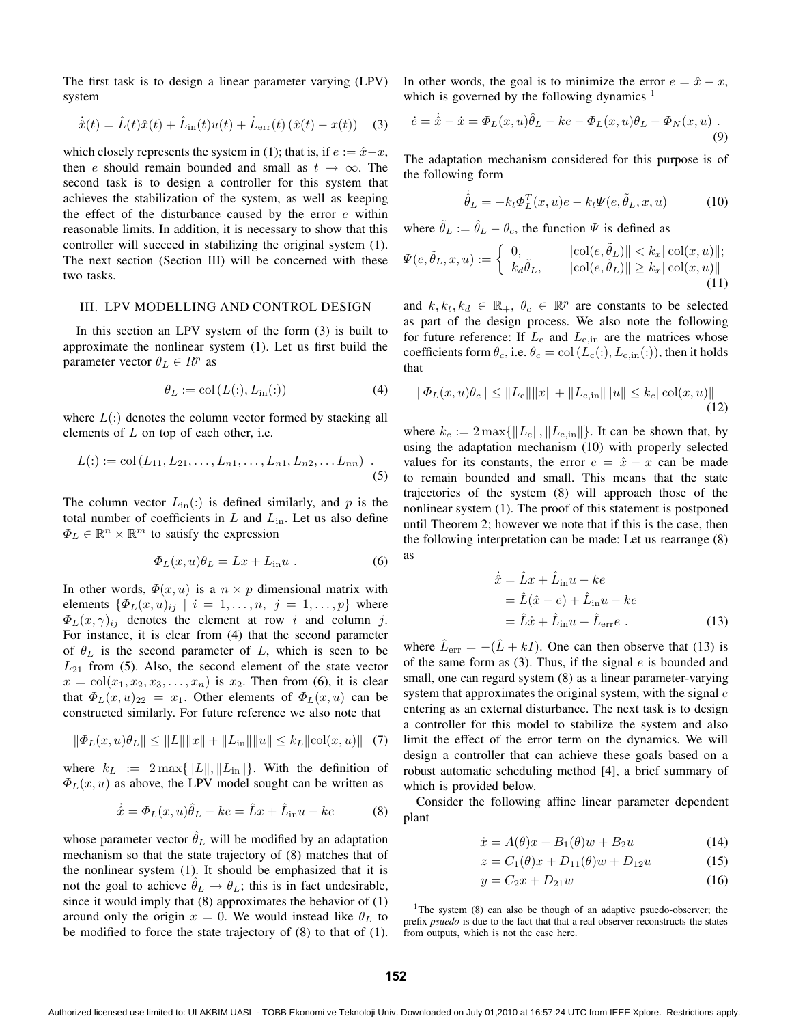The first task is to design a linear parameter varying (LPV) system

$$
\dot{\hat{x}}(t) = \hat{L}(t)\hat{x}(t) + \hat{L}_{\text{in}}(t)u(t) + \hat{L}_{\text{err}}(t)(\hat{x}(t) - x(t)) \quad (3)
$$

which closely represents the system in (1); that is, if  $e := \hat{x} - x$ , then e should remain bounded and small as  $t \to \infty$ . The second task is to design a controller for this system that achieves the stabilization of the system, as well as keeping the effect of the disturbance caused by the error  $e$  within reasonable limits. In addition, it is necessary to show that this controller will succeed in stabilizing the original system (1). The next section (Section III) will be concerned with these two tasks.

#### III. LPV MODELLING AND CONTROL DESIGN

In this section an LPV system of the form (3) is built to approximate the nonlinear system (1). Let us first build the parameter vector  $\theta_L \in R^p$  as

$$
\theta_L := \text{col}\left(L(:, L_{\text{in}}(:)\right) \tag{4}
$$

where  $L(·)$  denotes the column vector formed by stacking all elements of  $L$  on top of each other, i.e.

$$
L(:):= \text{col}(L_{11}, L_{21}, \ldots, L_{n1}, \ldots, L_{n1}, L_{n2}, \ldots L_{nn}) \quad .
$$
\n(5)

The column vector  $L_{\text{in}}(.)$  is defined similarly, and p is the total number of coefficients in  $L$  and  $L_{\text{in}}$ . Let us also define  $\Phi_L \in \mathbb{R}^n \times \mathbb{R}^m$  to satisfy the expression

$$
\Phi_L(x, u)\theta_L = Lx + L_{\text{in}}u \tag{6}
$$

In other words,  $\Phi(x, u)$  is a  $n \times p$  dimensional matrix with elements  $\{\Phi_L(x, u)_{ij} \mid i = 1, \ldots, n, j = 1, \ldots, p\}$  where  $\Phi_L(x, \gamma)_{ii}$  denotes the element at row i and column j. For instance, it is clear from (4) that the second parameter of  $\theta_L$  is the second parameter of L, which is seen to be  $L_{21}$  from (5). Also, the second element of the state vector  $x = col(x_1, x_2, x_3, \ldots, x_n)$  is  $x_2$ . Then from (6), it is clear that  $\Phi_L(x, u)_{22} = x_1$ . Other elements of  $\Phi_L(x, u)$  can be constructed similarly. For future reference we also note that

$$
\|\Phi_L(x, u)\theta_L\| \le \|L\| \|x\| + \|L_{\text{in}}\| \|u\| \le k_L \|\text{col}(x, u)\| \tag{7}
$$

where  $k_L := 2 \max{\{\Vert L \Vert, \Vert L_{in} \Vert\}}$ . With the definition of  $\Phi_L(x, u)$  as above, the LPV model sought can be written as

$$
\dot{\hat{x}} = \Phi_L(x, u)\hat{\theta}_L - ke = \hat{L}x + \hat{L}_{\text{in}}u - ke \tag{8}
$$

whose parameter vector  $\hat{\theta}_L$  will be modified by an adaptation mechanism so that the state trajectory of (8) matches that of the nonlinear system (1). It should be emphasized that it is not the goal to achieve  $\hat{\theta}_L \rightarrow \theta_L$ ; this is in fact undesirable, since it would imply that (8) approximates the behavior of (1) around only the origin  $x = 0$ . We would instead like  $\theta_L$  to be modified to force the state trajectory of (8) to that of (1). In other words, the goal is to minimize the error  $e = \hat{x} - x$ , which is governed by the following dynamics<sup>1</sup>

$$
\dot{e} = \dot{\hat{x}} - \dot{x} = \Phi_L(x, u)\hat{\theta}_L - ke - \Phi_L(x, u)\theta_L - \Phi_N(x, u)
$$
\n(9)

The adaptation mechanism considered for this purpose is of the following form

$$
\dot{\hat{\theta}}_L = -k_t \Phi_L^T(x, u)e - k_t \Psi(e, \tilde{\theta}_L, x, u)
$$
\n(10)

where  $\tilde{\theta}_L := \hat{\theta}_L - \theta_c$ , the function  $\Psi$  is defined as

$$
\Psi(e, \tilde{\theta}_L, x, u) := \begin{cases} 0, & \|\text{col}(e, \tilde{\theta}_L)\| < k_x \|\text{col}(x, u)\|; \\ k_d \tilde{\theta}_L, & \|\text{col}(e, \tilde{\theta}_L)\| \ge k_x \|\text{col}(x, u)\| \\ & \text{(11)} \end{cases}
$$

and  $k, k_t, k_d \in \mathbb{R}_+$ ,  $\theta_c \in \mathbb{R}^p$  are constants to be selected as part of the design process. We also note the following for future reference: If  $L_c$  and  $L_{c,in}$  are the matrices whose coefficients form  $\theta_c$ , i.e.  $\theta_c = \text{col}(L_c(:,L_{c,in}(:)),$  then it holds that

$$
\|\Phi_L(x, u)\theta_c\| \le \|L_c\| \|x\| + \|L_{c, \text{in}}\| \|u\| \le k_c \|\text{col}(x, u)\|
$$
\n(12)

where  $k_c := 2 \max\{||L_c||, ||L_{c,in}||\}$ . It can be shown that, by using the adaptation mechanism (10) with properly selected values for its constants, the error  $e = \hat{x} - x$  can be made to remain bounded and small. This means that the state trajectories of the system (8) will approach those of the nonlinear system (1). The proof of this statement is postponed until Theorem 2; however we note that if this is the case, then the following interpretation can be made: Let us rearrange (8) as

$$
\begin{aligned}\n\dot{\hat{x}} &= \hat{L}x + \hat{L}_{\text{in}}u - ke \\
&= \hat{L}(\hat{x} - e) + \hat{L}_{\text{in}}u - ke \\
&= \hat{L}\hat{x} + \hat{L}_{\text{in}}u + \hat{L}_{\text{err}}e \ .\n\end{aligned} \tag{13}
$$

where  $\hat{L}_{err} = -(\hat{L} + kI)$ . One can then observe that (13) is of the same form as  $(3)$ . Thus, if the signal  $e$  is bounded and small, one can regard system  $(8)$  as a linear parameter-varying system that approximates the original system, with the signal  $e$ entering as an external disturbance. The next task is to design a controller for this model to stabilize the system and also limit the effect of the error term on the dynamics. We will design a controller that can achieve these goals based on a robust automatic scheduling method [4], a brief summary of which is provided below.

Consider the following affine linear parameter dependent plant

$$
\dot{x} = A(\theta)x + B_1(\theta)w + B_2u \tag{14}
$$

$$
z = C_1(\theta)x + D_{11}(\theta)w + D_{12}u \tag{15}
$$

$$
y = C_2 x + D_{21} w \tag{16}
$$

<sup>1</sup>The system  $(8)$  can also be though of an adaptive psuedo-observer; the prefix *psuedo* is due to the fact that that a real observer reconstructs the states from outputs, which is not the case here.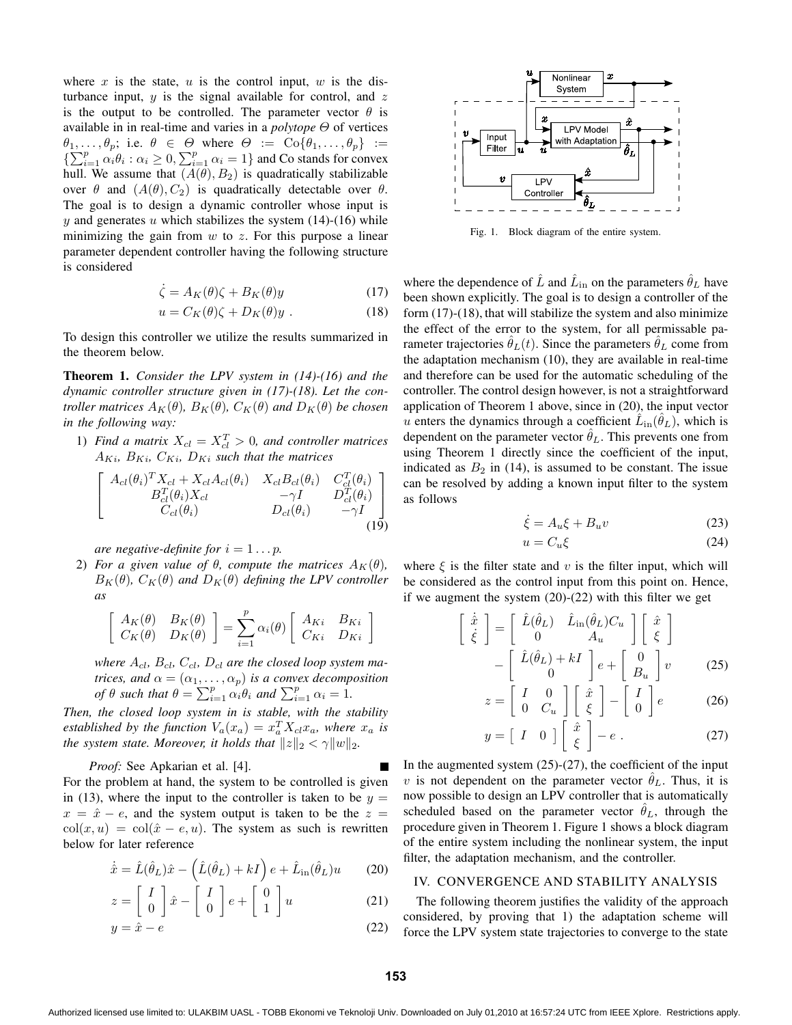where x is the state, u is the control input, w is the disturbance input,  $y$  is the signal available for control, and  $z$ is the output to be controlled. The parameter vector  $\theta$  is available in in real-time and varies in a *polytope* Θ of vertices  $\theta_1, \ldots, \theta_p$ ; i.e.  $\theta \in \Theta$  where  $\Theta := \text{Co}\{\theta_1, \ldots, \theta_p\} :=$  $\{\sum_{i=1}^{p} \alpha_i \theta_i : \alpha_i \geq 0, \sum_{i=1}^{p} \alpha_i = 1\}$  and Co stands for convex hull. We assume that  $(A(\theta), B_2)$  is quadratically stabilizable over  $\theta$  and  $(A(\theta), C_2)$  is quadratically detectable over  $\theta$ . The goal is to design a dynamic controller whose input is y and generates u which stabilizes the system  $(14)-(16)$  while minimizing the gain from  $w$  to  $z$ . For this purpose a linear parameter dependent controller having the following structure is considered

$$
\dot{\zeta} = A_K(\theta)\zeta + B_K(\theta)y \tag{17}
$$

$$
u = C_K(\theta)\zeta + D_K(\theta)y . \qquad (18)
$$

To design this controller we utilize the results summarized in the theorem below.

**Theorem 1.** *Consider the LPV system in (14)-(16) and the dynamic controller structure given in (17)-(18). Let the controller matrices*  $A_K(\theta)$ *,*  $B_K(\theta)$ *,*  $C_K(\theta)$  *and*  $D_K(\theta)$  *be chosen in the following way:*

1) *Find a matrix*  $X_{cl} = X_{cl}^T > 0$ *, and controller matrices*  $A_{Ki}$ ,  $B_{Ki}$ ,  $C_{Ki}$ ,  $D_{Ki}$  such that the matrices

$$
\begin{bmatrix}\nA_{cl}(\theta_i)^T X_{cl} + X_{cl} A_{cl}(\theta_i) & X_{cl} B_{cl}(\theta_i) & C_{cl}^T(\theta_i) \\
B_{cl}^T(\theta_i) X_{cl} & -\gamma I & D_{cl}^T(\theta_i) \\
C_{cl}(\theta_i) & D_{cl}(\theta_i) & -\gamma I\n\end{bmatrix}
$$
\n(19)

*are negative-definite for*  $i = 1 \ldots p$ *.* 

2) *For a* given value of  $\theta$ , compute the matrices  $A_K(\theta)$ ,  $B_K(\theta)$ *,*  $C_K(\theta)$  *and*  $D_K(\theta)$  *defining the LPV controller as*

$$
\begin{bmatrix}\nA_K(\theta) & B_K(\theta) \\
C_K(\theta) & D_K(\theta)\n\end{bmatrix} = \sum_{i=1}^p \alpha_i(\theta) \begin{bmatrix}\nA_{Ki} & B_{Ki} \\
C_{Ki} & D_{Ki}\n\end{bmatrix}
$$

where  $A_{cl}$ ,  $B_{cl}$ ,  $C_{cl}$ ,  $D_{cl}$  are the closed loop system ma*trices, and*  $\alpha = (\alpha_1, \dots, \alpha_p)$  *is a convex decomposition of*  $\theta$  *such that*  $\theta = \sum_{i=1}^{p} \alpha_i \theta_i$  *and*  $\sum_{i=1}^{p} \alpha_i = 1$ *.* 

*Then, the closed loop system in is stable, with the stability established by the function*  $V_a(x_a) = x_a^T X_{cl} x_a$ , where  $x_a$  *is the system state. Moreover, it holds that*  $||z||_2 < \gamma ||w||_2$ .

*Proof:* See Apkarian et al. [4]. For the problem at hand, the system to be controlled is given in (13), where the input to the controller is taken to be  $y =$  $x = \hat{x} - e$ , and the system output is taken to be the  $z =$  $col(x, u) = col(\hat{x} - e, u)$ . The system as such is rewritten below for later reference

$$
\dot{\hat{x}} = \hat{L}(\hat{\theta}_L)\hat{x} - (\hat{L}(\hat{\theta}_L) + kI) e + \hat{L}_{\text{in}}(\hat{\theta}_L)u \qquad (20)
$$

$$
z = \begin{bmatrix} I \\ 0 \end{bmatrix} \hat{x} - \begin{bmatrix} I \\ 0 \end{bmatrix} e + \begin{bmatrix} 0 \\ 1 \end{bmatrix} u \tag{21}
$$

$$
y = \hat{x} - e \tag{22}
$$



Fig. 1. Block diagram of the entire system.

where the dependence of  $\hat{L}$  and  $\hat{L}_{\text{in}}$  on the parameters  $\hat{\theta}_L$  have been shown explicitly. The goal is to design a controller of the form (17)-(18), that will stabilize the system and also minimize the effect of the error to the system, for all permissable parameter trajectories  $\hat{\theta}_L(t)$ . Since the parameters  $\hat{\theta}_L$  come from the adaptation mechanism (10), they are available in real-time and therefore can be used for the automatic scheduling of the controller. The control design however, is not a straightforward application of Theorem 1 above, since in (20), the input vector u enters the dynamics through a coefficient  $\hat{L}_{\text{in}}(\hat{\theta}_L)$ , which is dependent on the parameter vector  $\hat{\theta}_L$ . This prevents one from using Theorem 1 directly since the coefficient of the input, indicated as  $B_2$  in (14), is assumed to be constant. The issue can be resolved by adding a known input filter to the system as follows

$$
\dot{\xi} = A_u \xi + B_u v \tag{23}
$$

$$
u = C_u \xi \tag{24}
$$

where  $\xi$  is the filter state and v is the filter input, which will be considered as the control input from this point on. Hence, if we augment the system (20)-(22) with this filter we get

f

$$
\begin{aligned}\n\dot{\hat{x}} \\
\dot{\hat{\xi}}\n\end{aligned} = \n\begin{bmatrix}\n\hat{L}(\hat{\theta}_L) & \hat{L}_{\text{in}}(\hat{\theta}_L)C_u \\
0 & A_u\n\end{bmatrix}\n\begin{bmatrix}\n\hat{x} \\
\xi\n\end{bmatrix} \\
-\n\begin{bmatrix}\n\hat{L}(\hat{\theta}_L) + kI \\
0\n\end{bmatrix} e + \n\begin{bmatrix}\n0 \\
B_u\n\end{bmatrix} v\n\end{aligned}
$$
(25)

$$
z = \begin{bmatrix} I & 0 \\ 0 & C_u \end{bmatrix} \begin{bmatrix} \hat{x} \\ \hat{\xi} \end{bmatrix} - \begin{bmatrix} I \\ 0 \end{bmatrix} e \qquad (26)
$$

$$
y = \left[ \begin{array}{cc} I & 0 \end{array} \right] \left[ \begin{array}{c} \hat{x} \\ \xi \end{array} \right] - e \ . \tag{27}
$$

In the augmented system  $(25)-(27)$ , the coefficient of the input v is not dependent on the parameter vector  $\hat{\theta}_L$ . Thus, it is now possible to design an LPV controller that is automatically scheduled based on the parameter vector  $\hat{\theta}_L$ , through the procedure given in Theorem 1. Figure 1 shows a block diagram of the entire system including the nonlinear system, the input filter, the adaptation mechanism, and the controller.

#### IV. CONVERGENCE AND STABILITY ANALYSIS

The following theorem justifies the validity of the approach considered, by proving that 1) the adaptation scheme will force the LPV system state trajectories to converge to the state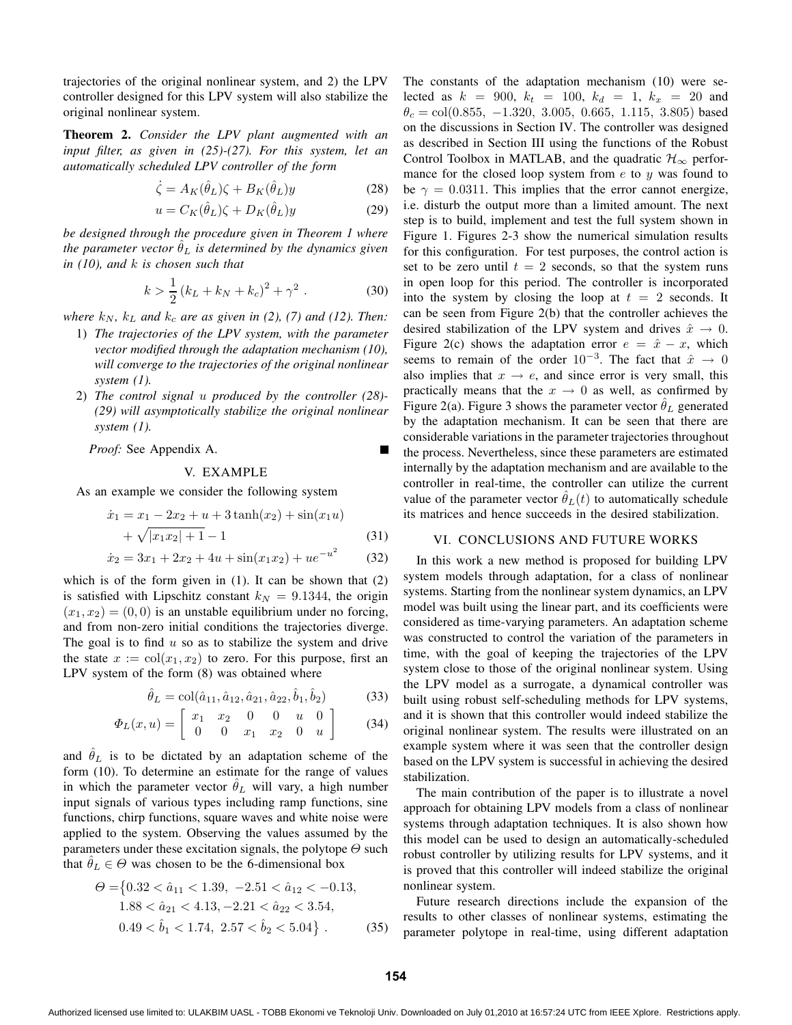trajectories of the original nonlinear system, and 2) the LPV controller designed for this LPV system will also stabilize the original nonlinear system.

**Theorem 2.** *Consider the LPV plant augmented with an input filter, as given in (25)-(27). For this system, let an automatically scheduled LPV controller of the form*

$$
\dot{\zeta} = A_K(\hat{\theta}_L)\zeta + B_K(\hat{\theta}_L)y \tag{28}
$$

$$
u = C_K(\hat{\theta}_L)\zeta + D_K(\hat{\theta}_L)y \tag{29}
$$

*be designed through the procedure given in Theorem 1 where the parameter vector*  $\hat{\theta}_L$  *is determined by the dynamics given in (10), and* k *is chosen such that*

$$
k > \frac{1}{2} (k_L + k_N + k_c)^2 + \gamma^2.
$$
 (30)

*where*  $k_N$ ,  $k_L$  *and*  $k_c$  *are as given in* (2), (7) *and* (12). *Then:* 

- 1) *The trajectories of the LPV system, with the parameter vector modified through the adaptation mechanism (10), will converge to the trajectories of the original nonlinear system (1).*
- 2) *The control signal* u *produced by the controller (28)- (29) will asymptotically stabilize the original nonlinear system (1).*

*Proof:* See Appendix A.

## V. EXAMPLE

As an example we consider the following system

$$
\begin{aligned} \dot{x}_1 &= x_1 - 2x_2 + u + 3\tanh(x_2) + \sin(x_1u) \\ &+ \sqrt{|x_1x_2| + 1} - 1 \end{aligned} \tag{31}
$$

$$
\dot{x}_2 = 3x_1 + 2x_2 + 4u + \sin(x_1 x_2) + u e^{-u^2} \tag{32}
$$

which is of the form given in (1). It can be shown that (2) is satisfied with Lipschitz constant  $k_N = 9.1344$ , the origin  $(x_1, x_2) = (0, 0)$  is an unstable equilibrium under no forcing, and from non-zero initial conditions the trajectories diverge. The goal is to find  $u$  so as to stabilize the system and drive the state  $x := col(x_1, x_2)$  to zero. For this purpose, first an LPV system of the form (8) was obtained where

$$
\hat{\theta}_L = \text{col}(\hat{a}_{11}, \hat{a}_{12}, \hat{a}_{21}, \hat{a}_{22}, \hat{b}_1, \hat{b}_2) \tag{33}
$$

$$
\Phi_L(x, u) = \left[ \begin{array}{cccc} x_1 & x_2 & 0 & 0 & u & 0 \\ 0 & 0 & x_1 & x_2 & 0 & u \end{array} \right] \tag{34}
$$

and  $\hat{\theta}_L$  is to be dictated by an adaptation scheme of the form (10). To determine an estimate for the range of values in which the parameter vector  $\hat{\theta}_L$  will vary, a high number input signals of various types including ramp functions, sine functions, chirp functions, square waves and white noise were applied to the system. Observing the values assumed by the parameters under these excitation signals, the polytope  $\Theta$  such that  $\hat{\theta}_L \in \Theta$  was chosen to be the 6-dimensional box

$$
\Theta = \{0.32 < \hat{a}_{11} < 1.39, \ -2.51 < \hat{a}_{12} < -0.13, \ 1.88 < \hat{a}_{21} < 4.13, \ -2.21 < \hat{a}_{22} < 3.54, \ 0.49 < \hat{b}_1 < 1.74, \ 2.57 < \hat{b}_2 < 5.04\} \,. \tag{35}
$$

The constants of the adaptation mechanism (10) were selected as  $k = 900$ ,  $k_t = 100$ ,  $k_d = 1$ ,  $k_x = 20$  and  $\theta_c = \text{col}(0.855, -1.320, 3.005, 0.665, 1.115, 3.805)$  based on the discussions in Section IV. The controller was designed as described in Section III using the functions of the Robust Control Toolbox in MATLAB, and the quadratic  $\mathcal{H}_{\infty}$  performance for the closed loop system from  $e$  to  $y$  was found to be  $\gamma = 0.0311$ . This implies that the error cannot energize, i.e. disturb the output more than a limited amount. The next step is to build, implement and test the full system shown in Figure 1. Figures 2-3 show the numerical simulation results for this configuration. For test purposes, the control action is set to be zero until  $t = 2$  seconds, so that the system runs in open loop for this period. The controller is incorporated into the system by closing the loop at  $t = 2$  seconds. It can be seen from Figure 2(b) that the controller achieves the desired stabilization of the LPV system and drives  $\hat{x} \to 0$ . Figure 2(c) shows the adaptation error  $e = \hat{x} - x$ , which seems to remain of the order  $10^{-3}$ . The fact that  $\hat{x} \to 0$ also implies that  $x \rightarrow e$ , and since error is very small, this practically means that the  $x \to 0$  as well, as confirmed by Figure 2(a). Figure 3 shows the parameter vector  $\hat{\theta}_L$  generated by the adaptation mechanism. It can be seen that there are considerable variations in the parameter trajectories throughout the process. Nevertheless, since these parameters are estimated internally by the adaptation mechanism and are available to the controller in real-time, the controller can utilize the current value of the parameter vector  $\hat{\theta}_L(t)$  to automatically schedule its matrices and hence succeeds in the desired stabilization.

# VI. CONCLUSIONS AND FUTURE WORKS

In this work a new method is proposed for building LPV system models through adaptation, for a class of nonlinear systems. Starting from the nonlinear system dynamics, an LPV model was built using the linear part, and its coefficients were considered as time-varying parameters. An adaptation scheme was constructed to control the variation of the parameters in time, with the goal of keeping the trajectories of the LPV system close to those of the original nonlinear system. Using the LPV model as a surrogate, a dynamical controller was built using robust self-scheduling methods for LPV systems, and it is shown that this controller would indeed stabilize the original nonlinear system. The results were illustrated on an example system where it was seen that the controller design based on the LPV system is successful in achieving the desired stabilization.

The main contribution of the paper is to illustrate a novel approach for obtaining LPV models from a class of nonlinear systems through adaptation techniques. It is also shown how this model can be used to design an automatically-scheduled robust controller by utilizing results for LPV systems, and it is proved that this controller will indeed stabilize the original nonlinear system.

Future research directions include the expansion of the results to other classes of nonlinear systems, estimating the parameter polytope in real-time, using different adaptation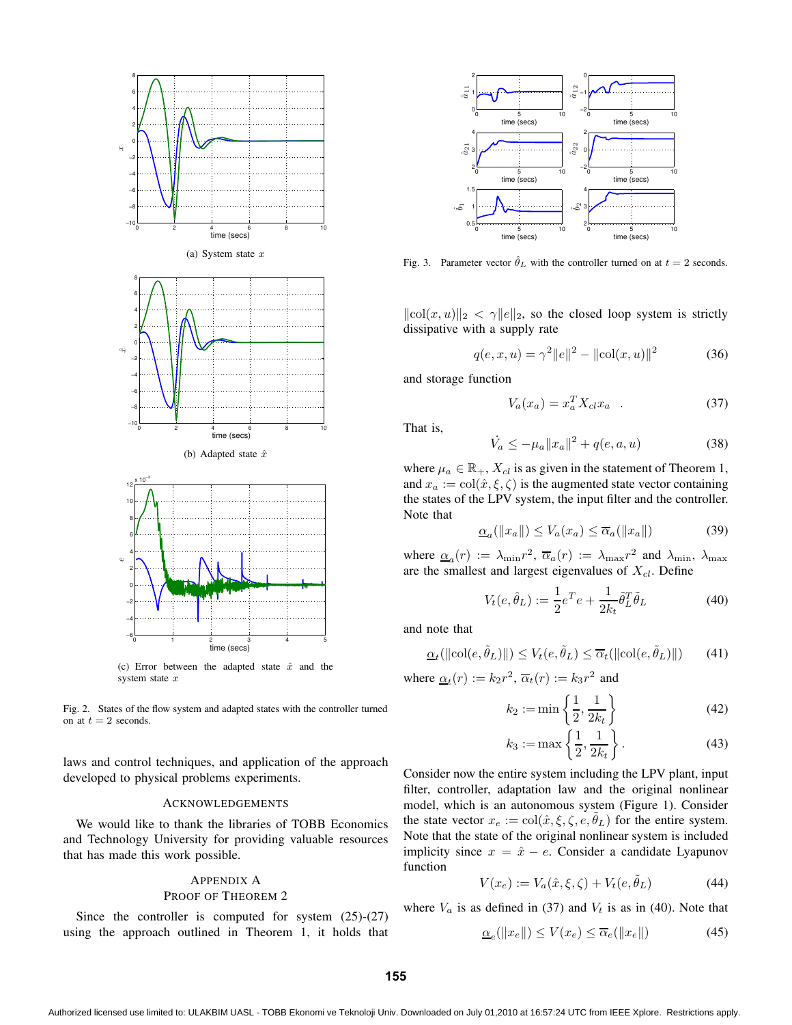

Fig. 2. States of the flow system and adapted states with the controller turned on at  $t = 2$  seconds.

laws and control techniques, and application of the approach developed to physical problems experiments.

#### ACKNOWLEDGEMENTS

We would like to thank the libraries of TOBB Economics and Technology University for providing valuable resources that has made this work possible.

# APPENDIX A PROOF OF THEOREM 2

Since the controller is computed for system (25)-(27) using the approach outlined in Theorem 1, it holds that



Fig. 3. Parameter vector  $\hat{\theta}_L$  with the controller turned on at  $t = 2$  seconds.

 $\|\text{col}(x, u)\|_2 < \gamma \|e\|_2$ , so the closed loop system is strictly dissipative with a supply rate

$$
q(e, x, u) = \gamma^2 ||e||^2 - ||\text{col}(x, u)||^2 \tag{36}
$$

and storage function

$$
V_a(x_a) = x_a^T X_{cl} x_a \quad . \tag{37}
$$

That is,

$$
\dot{V}_a \le -\mu_a \|x_a\|^2 + q(e, a, u) \tag{38}
$$

where  $\mu_a \in \mathbb{R}_+$ ,  $X_{cl}$  is as given in the statement of Theorem 1, and  $x_a := \text{col}(\hat{x}, \xi, \zeta)$  is the augmented state vector containing the states of the LPV system, the input filter and the controller. Note that

$$
\underline{\alpha}_a(||x_a||) \le V_a(x_a) \le \overline{\alpha}_a(||x_a||) \tag{39}
$$

where  $\alpha_a(r) := \lambda_{\min} r^2$ ,  $\overline{\alpha}_a(r) := \lambda_{\max} r^2$  and  $\lambda_{\min}$ ,  $\lambda_{\max}$ are the smallest and largest eigenvalues of  $X_{cl}$ . Define

$$
V_t(e, \hat{\theta}_L) := \frac{1}{2}e^T e + \frac{1}{2k_t} \tilde{\theta}_L^T \tilde{\theta}_L \tag{40}
$$

and note that

$$
\underline{\alpha}_t(||\text{col}(e, \tilde{\theta}_L)||) \le V_t(e, \tilde{\theta}_L) \le \overline{\alpha}_t(||\text{col}(e, \tilde{\theta}_L)||) \tag{41}
$$

where  $\underline{\alpha}_t(r) := k_2 r^2$ ,  $\overline{\alpha}_t(r) := k_3 r^2$  and

$$
k_2 := \min\left\{\frac{1}{2}, \frac{1}{2k_t}\right\} \tag{42}
$$

$$
k_3 := \max\left\{\frac{1}{2}, \frac{1}{2k_t}\right\}.
$$
 (43)

Consider now the entire system including the LPV plant, input filter, controller, adaptation law and the original nonlinear model, which is an autonomous system (Figure 1). Consider the state vector  $x_e := \text{col}(\hat{x}, \xi, \zeta, e, \tilde{\theta}_L)$  for the entire system. Note that the state of the original nonlinear system is included implicity since  $x = \hat{x} - e$ . Consider a candidate Lyapunov function

$$
V(x_e) := V_a(\hat{x}, \xi, \zeta) + V_t(e, \tilde{\theta}_L)
$$
\n(44)

where  $V_a$  is as defined in (37) and  $V_t$  is as in (40). Note that

$$
\underline{\alpha}_e(\|x_e\|) \le V(x_e) \le \overline{\alpha}_e(\|x_e\|) \tag{45}
$$